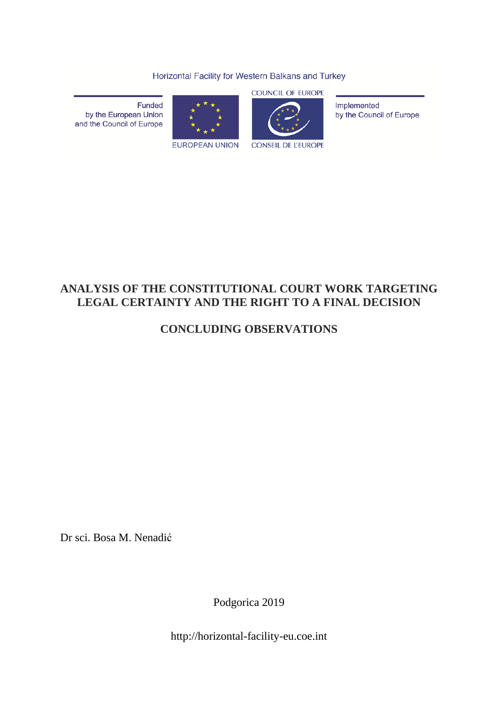Horizontal Facility for Western Balkans and Turkey

Funded by the European Union and the Council of Europe



**EUROPEAN UNION** 

**COUNCIL OF EUROPE** 

**CONSEIL DE L'EUROPE** 

Implemented by the Council of Europe

# **ANALYSIS OF THE CONSTITUTIONAL COURT WORK TARGETING LEGAL CERTAINTY AND THE RIGHT TO A FINAL DECISION**

# **CONCLUDING OBSERVATIONS**

Dr sci. Bosa M. Nenadić

Podgorica 2019

http://horizontal-facility-eu.coe.int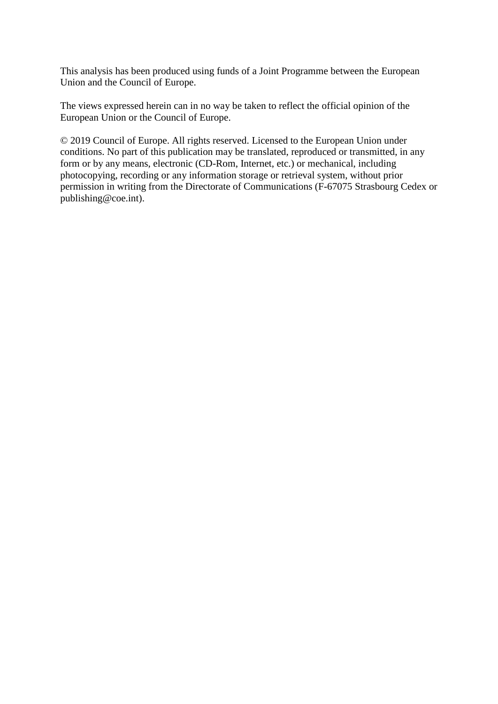This analysis has been produced using funds of a Joint Programme between the European Union and the Council of Europe.

The views expressed herein can in no way be taken to reflect the official opinion of the European Union or the Council of Europe.

© 2019 Council of Europe. All rights reserved. Licensed to the European Union under conditions. No part of this publication may be translated, reproduced or transmitted, in any form or by any means, electronic (CD-Rom, Internet, etc.) or mechanical, including photocopying, recording or any information storage or retrieval system, without prior permission in writing from the Directorate of Communications (F-67075 Strasbourg Cedex or [publishing@coe.int\)](mailto:publishing@coe.int).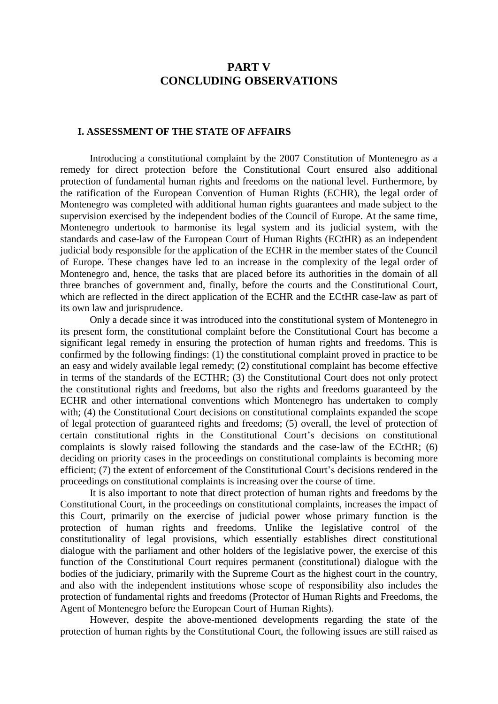## **PART V CONCLUDING OBSERVATIONS**

#### **I. ASSESSMENT OF THE STATE OF AFFAIRS**

Introducing a constitutional complaint by the 2007 Constitution of Montenegro as a remedy for direct protection before the Constitutional Court ensured also additional protection of fundamental human rights and freedoms on the national level. Furthermore, by the ratification of the European Convention of Human Rights (ECHR), the legal order of Montenegro was completed with additional human rights guarantees and made subject to the supervision exercised by the independent bodies of the Council of Europe. At the same time, Montenegro undertook to harmonise its legal system and its judicial system, with the standards and case-law of the European Court of Human Rights (ECtHR) as an independent judicial body responsible for the application of the ECHR in the member states of the Council of Europe. These changes have led to an increase in the complexity of the legal order of Montenegro and, hence, the tasks that are placed before its authorities in the domain of all three branches of government and, finally, before the courts and the Constitutional Court, which are reflected in the direct application of the ECHR and the ECtHR case-law as part of its own law and jurisprudence.

Only a decade since it was introduced into the constitutional system of Montenegro in its present form, the constitutional complaint before the Constitutional Court has become a significant legal remedy in ensuring the protection of human rights and freedoms. This is confirmed by the following findings: (1) the constitutional complaint proved in practice to be an easy and widely available legal remedy; (2) constitutional complaint has become effective in terms of the standards of the ECTHR; (3) the Constitutional Court does not only protect the constitutional rights and freedoms, but also the rights and freedoms guaranteed by the ECHR and other international conventions which Montenegro has undertaken to comply with; (4) the Constitutional Court decisions on constitutional complaints expanded the scope of legal protection of guaranteed rights and freedoms; (5) overall, the level of protection of certain constitutional rights in the Constitutional Court's decisions on constitutional complaints is slowly raised following the standards and the case-law of the ECtHR; (6) deciding on priority cases in the proceedings on constitutional complaints is becoming more efficient; (7) the extent of enforcement of the Constitutional Court's decisions rendered in the proceedings on constitutional complaints is increasing over the course of time.

It is also important to note that direct protection of human rights and freedoms by the Constitutional Court, in the proceedings on constitutional complaints, increases the impact of this Court, primarily on the exercise of judicial power whose primary function is the protection of human rights and freedoms. Unlike the legislative control of the constitutionality of legal provisions, which essentially establishes direct constitutional dialogue with the parliament and other holders of the legislative power, the exercise of this function of the Constitutional Court requires permanent (constitutional) dialogue with the bodies of the judiciary, primarily with the Supreme Court as the highest court in the country, and also with the independent institutions whose scope of responsibility also includes the protection of fundamental rights and freedoms (Protector of Human Rights and Freedoms, the Agent of Montenegro before the European Court of Human Rights).

However, despite the above-mentioned developments regarding the state of the protection of human rights by the Constitutional Court, the following issues are still raised as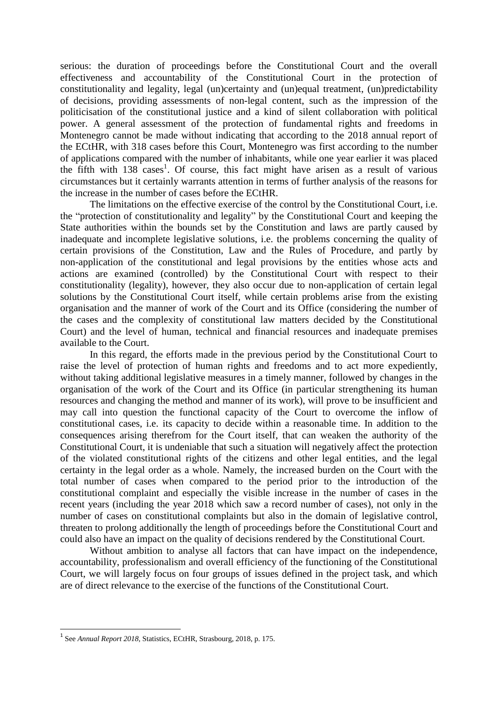serious: the duration of proceedings before the Constitutional Court and the overall effectiveness and accountability of the Constitutional Court in the protection of constitutionality and legality, legal (un)certainty and (un)equal treatment, (un)predictability of decisions, providing assessments of non-legal content, such as the impression of the politicisation of the constitutional justice and a kind of silent collaboration with political power. A general assessment of the protection of fundamental rights and freedoms in Montenegro cannot be made without indicating that according to the 2018 annual report of the ECtHR, with 318 cases before this Court, Montenegro was first according to the number of applications compared with the number of inhabitants, while one year earlier it was placed the fifth with 138 cases<sup>1</sup>. Of course, this fact might have arisen as a result of various circumstances but it certainly warrants attention in terms of further analysis of the reasons for the increase in the number of cases before the ECtHR.

The limitations on the effective exercise of the control by the Constitutional Court, i.e. the "protection of constitutionality and legality" by the Constitutional Court and keeping the State authorities within the bounds set by the Constitution and laws are partly caused by inadequate and incomplete legislative solutions, i.e. the problems concerning the quality of certain provisions of the Constitution, Law and the Rules of Procedure, and partly by non-application of the constitutional and legal provisions by the entities whose acts and actions are examined (controlled) by the Constitutional Court with respect to their constitutionality (legality), however, they also occur due to non-application of certain legal solutions by the Constitutional Court itself, while certain problems arise from the existing organisation and the manner of work of the Court and its Office (considering the number of the cases and the complexity of constitutional law matters decided by the Constitutional Court) and the level of human, technical and financial resources and inadequate premises available to the Court.

In this regard, the efforts made in the previous period by the Constitutional Court to raise the level of protection of human rights and freedoms and to act more expediently, without taking additional legislative measures in a timely manner, followed by changes in the organisation of the work of the Court and its Office (in particular strengthening its human resources and changing the method and manner of its work), will prove to be insufficient and may call into question the functional capacity of the Court to overcome the inflow of constitutional cases, i.e. its capacity to decide within a reasonable time. In addition to the consequences arising therefrom for the Court itself, that can weaken the authority of the Constitutional Court, it is undeniable that such a situation will negatively affect the protection of the violated constitutional rights of the citizens and other legal entities, and the legal certainty in the legal order as a whole. Namely, the increased burden on the Court with the total number of cases when compared to the period prior to the introduction of the constitutional complaint and especially the visible increase in the number of cases in the recent years (including the year 2018 which saw a record number of cases), not only in the number of cases on constitutional complaints but also in the domain of legislative control, threaten to prolong additionally the length of proceedings before the Constitutional Court and could also have an impact on the quality of decisions rendered by the Constitutional Court.

Without ambition to analyse all factors that can have impact on the independence, accountability, professionalism and overall efficiency of the functioning of the Constitutional Court, we will largely focus on four groups of issues defined in the project task, and which are of direct relevance to the exercise of the functions of the Constitutional Court.

**.** 

<sup>&</sup>lt;sup>1</sup> See *Annual Report 2018*, Statistics, ECtHR, Strasbourg, 2018, p. 175.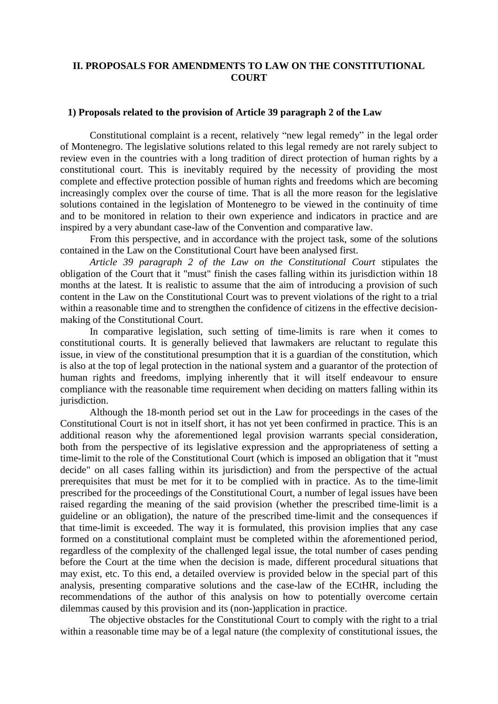## **II. PROPOSALS FOR AMENDMENTS TO LAW ON THE CONSTITUTIONAL COURT**

#### **1) Proposals related to the provision of Article 39 paragraph 2 of the Law**

Constitutional complaint is a recent, relatively "new legal remedy" in the legal order of Montenegro. The legislative solutions related to this legal remedy are not rarely subject to review even in the countries with a long tradition of direct protection of human rights by a constitutional court. This is inevitably required by the necessity of providing the most complete and effective protection possible of human rights and freedoms which are becoming increasingly complex over the course of time. That is all the more reason for the legislative solutions contained in the legislation of Montenegro to be viewed in the continuity of time and to be monitored in relation to their own experience and indicators in practice and are inspired by a very abundant case-law of the Convention and comparative law.

From this perspective, and in accordance with the project task, some of the solutions contained in the Law on the Constitutional Court have been analysed first.

*Article 39 paragraph 2 of the Law on the Constitutional Court* stipulates the obligation of the Court that it "must" finish the cases falling within its jurisdiction within 18 months at the latest. It is realistic to assume that the aim of introducing a provision of such content in the Law on the Constitutional Court was to prevent violations of the right to a trial within a reasonable time and to strengthen the confidence of citizens in the effective decisionmaking of the Constitutional Court.

In comparative legislation, such setting of time-limits is rare when it comes to constitutional courts. It is generally believed that lawmakers are reluctant to regulate this issue, in view of the constitutional presumption that it is a guardian of the constitution, which is also at the top of legal protection in the national system and a guarantor of the protection of human rights and freedoms, implying inherently that it will itself endeavour to ensure compliance with the reasonable time requirement when deciding on matters falling within its jurisdiction.

Although the 18-month period set out in the Law for proceedings in the cases of the Constitutional Court is not in itself short, it has not yet been confirmed in practice. This is an additional reason why the aforementioned legal provision warrants special consideration, both from the perspective of its legislative expression and the appropriateness of setting a time-limit to the role of the Constitutional Court (which is imposed an obligation that it "must decide" on all cases falling within its jurisdiction) and from the perspective of the actual prerequisites that must be met for it to be complied with in practice. As to the time-limit prescribed for the proceedings of the Constitutional Court, a number of legal issues have been raised regarding the meaning of the said provision (whether the prescribed time-limit is a guideline or an obligation), the nature of the prescribed time-limit and the consequences if that time-limit is exceeded. The way it is formulated, this provision implies that any case formed on a constitutional complaint must be completed within the aforementioned period, regardless of the complexity of the challenged legal issue, the total number of cases pending before the Court at the time when the decision is made, different procedural situations that may exist, etc. To this end, a detailed overview is provided below in the special part of this analysis, presenting comparative solutions and the case-law of the ECtHR, including the recommendations of the author of this analysis on how to potentially overcome certain dilemmas caused by this provision and its (non-)application in practice.

The objective obstacles for the Constitutional Court to comply with the right to a trial within a reasonable time may be of a legal nature (the complexity of constitutional issues, the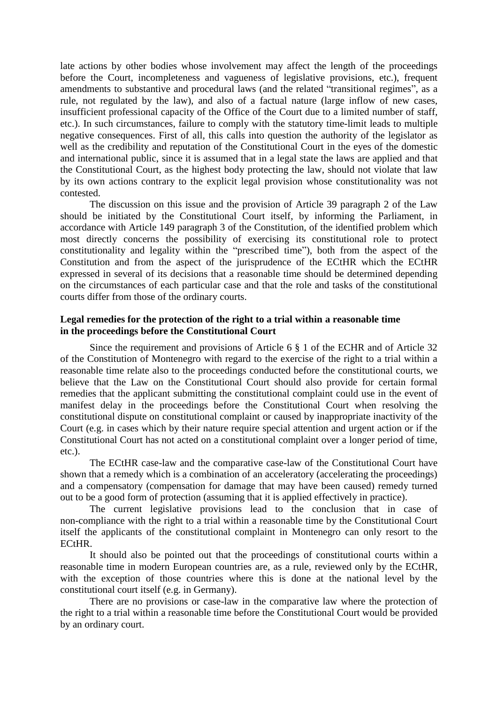late actions by other bodies whose involvement may affect the length of the proceedings before the Court, incompleteness and vagueness of legislative provisions, etc.), frequent amendments to substantive and procedural laws (and the related "transitional regimes", as a rule, not regulated by the law), and also of a factual nature (large inflow of new cases, insufficient professional capacity of the Office of the Court due to a limited number of staff, etc.). In such circumstances, failure to comply with the statutory time-limit leads to multiple negative consequences. First of all, this calls into question the authority of the legislator as well as the credibility and reputation of the Constitutional Court in the eyes of the domestic and international public, since it is assumed that in a legal state the laws are applied and that the Constitutional Court, as the highest body protecting the law, should not violate that law by its own actions contrary to the explicit legal provision whose constitutionality was not contested.

The discussion on this issue and the provision of Article 39 paragraph 2 of the Law should be initiated by the Constitutional Court itself, by informing the Parliament, in accordance with Article 149 paragraph 3 of the Constitution, of the identified problem which most directly concerns the possibility of exercising its constitutional role to protect constitutionality and legality within the "prescribed time"), both from the aspect of the Constitution and from the aspect of the jurisprudence of the ECtHR which the ECtHR expressed in several of its decisions that a reasonable time should be determined depending on the circumstances of each particular case and that the role and tasks of the constitutional courts differ from those of the ordinary courts.

## **Legal remedies for the protection of the right to a trial within a reasonable time in the proceedings before the Constitutional Court**

Since the requirement and provisions of Article 6 § 1 of the ECHR and of Article 32 of the Constitution of Montenegro with regard to the exercise of the right to a trial within a reasonable time relate also to the proceedings conducted before the constitutional courts, we believe that the Law on the Constitutional Court should also provide for certain formal remedies that the applicant submitting the constitutional complaint could use in the event of manifest delay in the proceedings before the Constitutional Court when resolving the constitutional dispute on constitutional complaint or caused by inappropriate inactivity of the Court (e.g. in cases which by their nature require special attention and urgent action or if the Constitutional Court has not acted on a constitutional complaint over a longer period of time, etc.).

The ECtHR case-law and the comparative case-law of the Constitutional Court have shown that a remedy which is a combination of an acceleratory (accelerating the proceedings) and a compensatory (compensation for damage that may have been caused) remedy turned out to be a good form of protection (assuming that it is applied effectively in practice).

The current legislative provisions lead to the conclusion that in case of non-compliance with the right to a trial within a reasonable time by the Constitutional Court itself the applicants of the constitutional complaint in Montenegro can only resort to the ECtHR.

It should also be pointed out that the proceedings of constitutional courts within a reasonable time in modern European countries are, as a rule, reviewed only by the ECtHR, with the exception of those countries where this is done at the national level by the constitutional court itself (e.g. in Germany).

There are no provisions or case-law in the comparative law where the protection of the right to a trial within a reasonable time before the Constitutional Court would be provided by an ordinary court.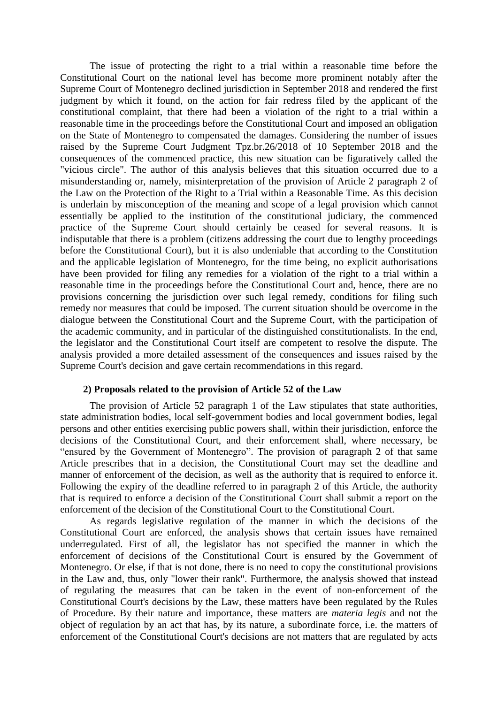The issue of protecting the right to a trial within a reasonable time before the Constitutional Court on the national level has become more prominent notably after the Supreme Court of Montenegro declined jurisdiction in September 2018 and rendered the first judgment by which it found, on the action for fair redress filed by the applicant of the constitutional complaint, that there had been a violation of the right to a trial within a reasonable time in the proceedings before the Constitutional Court and imposed an obligation on the State of Montenegro to compensated the damages. Considering the number of issues raised by the Supreme Court Judgment Tpz.br.26/2018 of 10 September 2018 and the consequences of the commenced practice, this new situation can be figuratively called the "vicious circle". The author of this analysis believes that this situation occurred due to a misunderstanding or, namely, misinterpretation of the provision of Article 2 paragraph 2 of the Law on the Protection of the Right to a Trial within a Reasonable Time. As this decision is underlain by misconception of the meaning and scope of a legal provision which cannot essentially be applied to the institution of the constitutional judiciary, the commenced practice of the Supreme Court should certainly be ceased for several reasons. It is indisputable that there is a problem (citizens addressing the court due to lengthy proceedings before the Constitutional Court), but it is also undeniable that according to the Constitution and the applicable legislation of Montenegro, for the time being, no explicit authorisations have been provided for filing any remedies for a violation of the right to a trial within a reasonable time in the proceedings before the Constitutional Court and, hence, there are no provisions concerning the jurisdiction over such legal remedy, conditions for filing such remedy nor measures that could be imposed. The current situation should be overcome in the dialogue between the Constitutional Court and the Supreme Court, with the participation of the academic community, and in particular of the distinguished constitutionalists. In the end, the legislator and the Constitutional Court itself are competent to resolve the dispute. The analysis provided a more detailed assessment of the consequences and issues raised by the Supreme Court's decision and gave certain recommendations in this regard.

## **2) Proposals related to the provision of Article 52 of the Law**

The provision of Article 52 paragraph 1 of the Law stipulates that state authorities, state administration bodies, local self-government bodies and local government bodies, legal persons and other entities exercising public powers shall, within their jurisdiction, enforce the decisions of the Constitutional Court, and their enforcement shall, where necessary, be "ensured by the Government of Montenegro". The provision of paragraph 2 of that same Article prescribes that in a decision, the Constitutional Court may set the deadline and manner of enforcement of the decision, as well as the authority that is required to enforce it. Following the expiry of the deadline referred to in paragraph 2 of this Article, the authority that is required to enforce a decision of the Constitutional Court shall submit a report on the enforcement of the decision of the Constitutional Court to the Constitutional Court.

As regards legislative regulation of the manner in which the decisions of the Constitutional Court are enforced, the analysis shows that certain issues have remained underregulated. First of all, the legislator has not specified the manner in which the enforcement of decisions of the Constitutional Court is ensured by the Government of Montenegro. Or else, if that is not done, there is no need to copy the constitutional provisions in the Law and, thus, only "lower their rank". Furthermore, the analysis showed that instead of regulating the measures that can be taken in the event of non-enforcement of the Constitutional Court's decisions by the Law, these matters have been regulated by the Rules of Procedure. By their nature and importance, these matters are *materia legis* and not the object of regulation by an act that has, by its nature, a subordinate force, i.e. the matters of enforcement of the Constitutional Court's decisions are not matters that are regulated by acts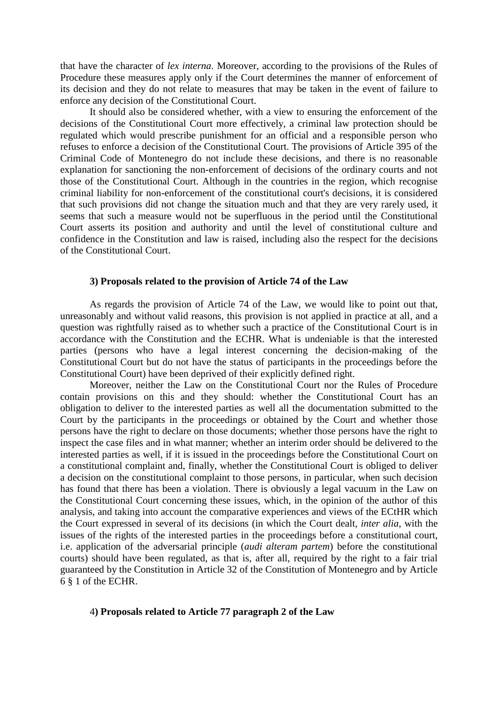that have the character of *lex interna*. Moreover, according to the provisions of the Rules of Procedure these measures apply only if the Court determines the manner of enforcement of its decision and they do not relate to measures that may be taken in the event of failure to enforce any decision of the Constitutional Court.

It should also be considered whether, with a view to ensuring the enforcement of the decisions of the Constitutional Court more effectively, a criminal law protection should be regulated which would prescribe punishment for an official and a responsible person who refuses to enforce a decision of the Constitutional Court. The provisions of Article 395 of the Criminal Code of Montenegro do not include these decisions, and there is no reasonable explanation for sanctioning the non-enforcement of decisions of the ordinary courts and not those of the Constitutional Court. Although in the countries in the region, which recognise criminal liability for non-enforcement of the constitutional court's decisions, it is considered that such provisions did not change the situation much and that they are very rarely used, it seems that such a measure would not be superfluous in the period until the Constitutional Court asserts its position and authority and until the level of constitutional culture and confidence in the Constitution and law is raised, including also the respect for the decisions of the Constitutional Court.

#### **3) Proposals related to the provision of Article 74 of the Law**

As regards the provision of Article 74 of the Law, we would like to point out that, unreasonably and without valid reasons, this provision is not applied in practice at all, and a question was rightfully raised as to whether such a practice of the Constitutional Court is in accordance with the Constitution and the ECHR. What is undeniable is that the interested parties (persons who have a legal interest concerning the decision-making of the Constitutional Court but do not have the status of participants in the proceedings before the Constitutional Court) have been deprived of their explicitly defined right.

Moreover, neither the Law on the Constitutional Court nor the Rules of Procedure contain provisions on this and they should: whether the Constitutional Court has an obligation to deliver to the interested parties as well all the documentation submitted to the Court by the participants in the proceedings or obtained by the Court and whether those persons have the right to declare on those documents; whether those persons have the right to inspect the case files and in what manner; whether an interim order should be delivered to the interested parties as well, if it is issued in the proceedings before the Constitutional Court on a constitutional complaint and, finally, whether the Constitutional Court is obliged to deliver a decision on the constitutional complaint to those persons, in particular, when such decision has found that there has been a violation. There is obviously a legal vacuum in the Law on the Constitutional Court concerning these issues, which, in the opinion of the author of this analysis, and taking into account the comparative experiences and views of the ECtHR which the Court expressed in several of its decisions (in which the Court dealt, *inter alia*, with the issues of the rights of the interested parties in the proceedings before a constitutional court, i.e. application of the adversarial principle (*audi alteram partem*) before the constitutional courts) should have been regulated, as that is, after all, required by the right to a fair trial guaranteed by the Constitution in Article 32 of the Constitution of Montenegro and by Article 6 § 1 of the ECHR.

## 4**) Proposals related to Article 77 paragraph 2 of the Law**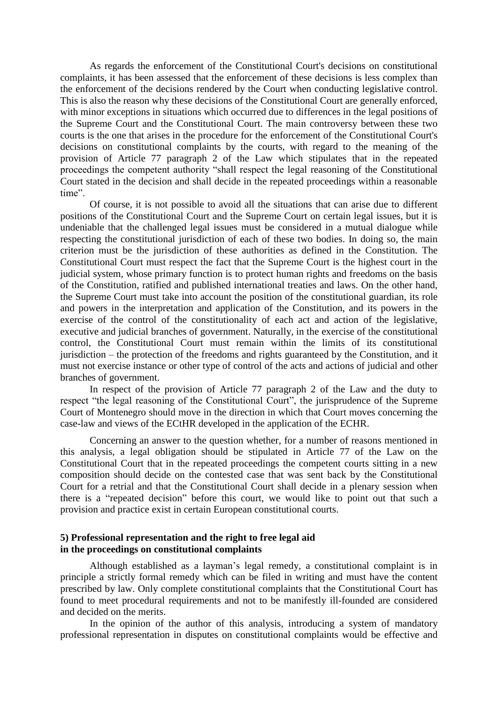As regards the enforcement of the Constitutional Court's decisions on constitutional complaints, it has been assessed that the enforcement of these decisions is less complex than the enforcement of the decisions rendered by the Court when conducting legislative control. This is also the reason why these decisions of the Constitutional Court are generally enforced, with minor exceptions in situations which occurred due to differences in the legal positions of the Supreme Court and the Constitutional Court. The main controversy between these two courts is the one that arises in the procedure for the enforcement of the Constitutional Court's decisions on constitutional complaints by the courts, with regard to the meaning of the provision of Article 77 paragraph 2 of the Law which stipulates that in the repeated proceedings the competent authority "shall respect the legal reasoning of the Constitutional Court stated in the decision and shall decide in the repeated proceedings within a reasonable time".

Of course, it is not possible to avoid all the situations that can arise due to different positions of the Constitutional Court and the Supreme Court on certain legal issues, but it is undeniable that the challenged legal issues must be considered in a mutual dialogue while respecting the constitutional jurisdiction of each of these two bodies. In doing so, the main criterion must be the jurisdiction of these authorities as defined in the Constitution. The Constitutional Court must respect the fact that the Supreme Court is the highest court in the judicial system, whose primary function is to protect human rights and freedoms on the basis of the Constitution, ratified and published international treaties and laws. On the other hand, the Supreme Court must take into account the position of the constitutional guardian, its role and powers in the interpretation and application of the Constitution, and its powers in the exercise of the control of the constitutionality of each act and action of the legislative, executive and judicial branches of government. Naturally, in the exercise of the constitutional control, the Constitutional Court must remain within the limits of its constitutional jurisdiction – the protection of the freedoms and rights guaranteed by the Constitution, and it must not exercise instance or other type of control of the acts and actions of judicial and other branches of government.

In respect of the provision of Article 77 paragraph 2 of the Law and the duty to respect "the legal reasoning of the Constitutional Court", the jurisprudence of the Supreme Court of Montenegro should move in the direction in which that Court moves concerning the case-law and views of the ECtHR developed in the application of the ECHR.

Concerning an answer to the question whether, for a number of reasons mentioned in this analysis, a legal obligation should be stipulated in Article 77 of the Law on the Constitutional Court that in the repeated proceedings the competent courts sitting in a new composition should decide on the contested case that was sent back by the Constitutional Court for a retrial and that the Constitutional Court shall decide in a plenary session when there is a "repeated decision" before this court, we would like to point out that such a provision and practice exist in certain European constitutional courts.

## **5) Professional representation and the right to free legal aid in the proceedings on constitutional complaints**

Although established as a layman's legal remedy, a constitutional complaint is in principle a strictly formal remedy which can be filed in writing and must have the content prescribed by law. Only complete constitutional complaints that the Constitutional Court has found to meet procedural requirements and not to be manifestly ill-founded are considered and decided on the merits.

In the opinion of the author of this analysis, introducing a system of mandatory professional representation in disputes on constitutional complaints would be effective and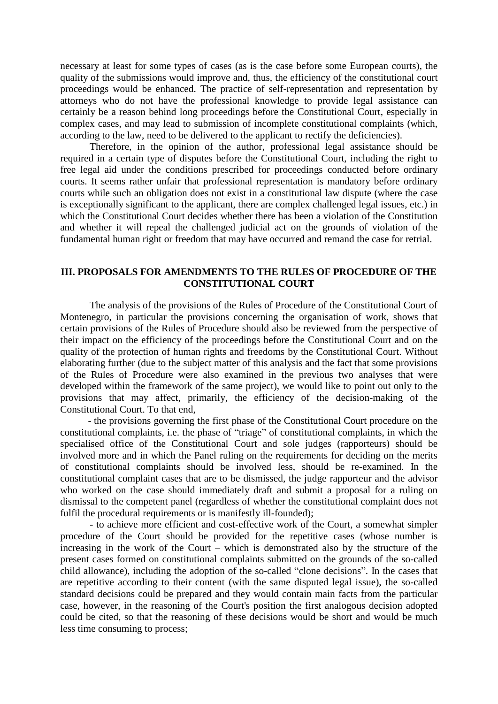necessary at least for some types of cases (as is the case before some European courts), the quality of the submissions would improve and, thus, the efficiency of the constitutional court proceedings would be enhanced. The practice of self-representation and representation by attorneys who do not have the professional knowledge to provide legal assistance can certainly be a reason behind long proceedings before the Constitutional Court, especially in complex cases, and may lead to submission of incomplete constitutional complaints (which, according to the law, need to be delivered to the applicant to rectify the deficiencies).

Therefore, in the opinion of the author, professional legal assistance should be required in a certain type of disputes before the Constitutional Court, including the right to free legal aid under the conditions prescribed for proceedings conducted before ordinary courts. It seems rather unfair that professional representation is mandatory before ordinary courts while such an obligation does not exist in a constitutional law dispute (where the case is exceptionally significant to the applicant, there are complex challenged legal issues, etc.) in which the Constitutional Court decides whether there has been a violation of the Constitution and whether it will repeal the challenged judicial act on the grounds of violation of the fundamental human right or freedom that may have occurred and remand the case for retrial.

## **III. PROPOSALS FOR AMENDMENTS TO THE RULES OF PROCEDURE OF THE CONSTITUTIONAL COURT**

The analysis of the provisions of the Rules of Procedure of the Constitutional Court of Montenegro, in particular the provisions concerning the organisation of work, shows that certain provisions of the Rules of Procedure should also be reviewed from the perspective of their impact on the efficiency of the proceedings before the Constitutional Court and on the quality of the protection of human rights and freedoms by the Constitutional Court. Without elaborating further (due to the subject matter of this analysis and the fact that some provisions of the Rules of Procedure were also examined in the previous two analyses that were developed within the framework of the same project), we would like to point out only to the provisions that may affect, primarily, the efficiency of the decision-making of the Constitutional Court. To that end,

 - the provisions governing the first phase of the Constitutional Court procedure on the constitutional complaints, i.e. the phase of "triage" of constitutional complaints, in which the specialised office of the Constitutional Court and sole judges (rapporteurs) should be involved more and in which the Panel ruling on the requirements for deciding on the merits of constitutional complaints should be involved less, should be re-examined. In the constitutional complaint cases that are to be dismissed, the judge rapporteur and the advisor who worked on the case should immediately draft and submit a proposal for a ruling on dismissal to the competent panel (regardless of whether the constitutional complaint does not fulfil the procedural requirements or is manifestly ill-founded);

- to achieve more efficient and cost-effective work of the Court, a somewhat simpler procedure of the Court should be provided for the repetitive cases (whose number is increasing in the work of the Court – which is demonstrated also by the structure of the present cases formed on constitutional complaints submitted on the grounds of the so-called child allowance), including the adoption of the so-called "clone decisions". In the cases that are repetitive according to their content (with the same disputed legal issue), the so-called standard decisions could be prepared and they would contain main facts from the particular case, however, in the reasoning of the Court's position the first analogous decision adopted could be cited, so that the reasoning of these decisions would be short and would be much less time consuming to process;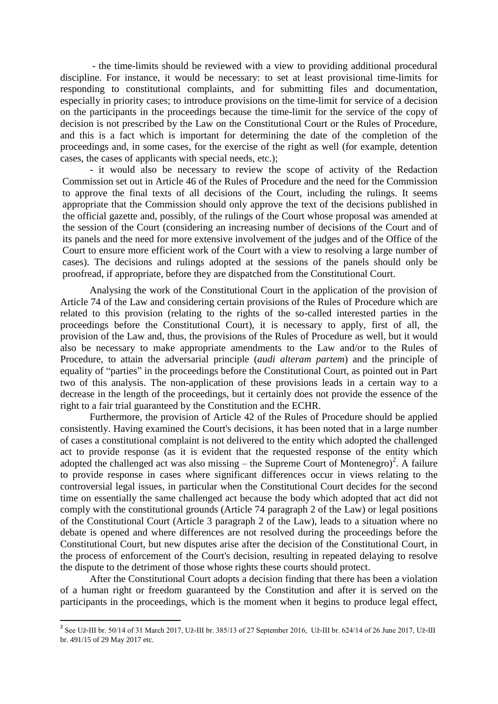- the time-limits should be reviewed with a view to providing additional procedural discipline. For instance, it would be necessary: to set at least provisional time-limits for responding to constitutional complaints, and for submitting files and documentation, especially in priority cases; to introduce provisions on the time-limit for service of a decision on the participants in the proceedings because the time-limit for the service of the copy of decision is not prescribed by the Law on the Constitutional Court or the Rules of Procedure, and this is a fact which is important for determining the date of the completion of the proceedings and, in some cases, for the exercise of the right as well (for example, detention cases, the cases of applicants with special needs, etc.);

- it would also be necessary to review the scope of activity of the Redaction Commission set out in Article 46 of the Rules of Procedure and the need for the Commission to approve the final texts of all decisions of the Court, including the rulings. It seems appropriate that the Commission should only approve the text of the decisions published in the official gazette and, possibly, of the rulings of the Court whose proposal was amended at the session of the Court (considering an increasing number of decisions of the Court and of its panels and the need for more extensive involvement of the judges and of the Office of the Court to ensure more efficient work of the Court with a view to resolving a large number of cases). The decisions and rulings adopted at the sessions of the panels should only be proofread, if appropriate, before they are dispatched from the Constitutional Court.

Analysing the work of the Constitutional Court in the application of the provision of Article 74 of the Law and considering certain provisions of the Rules of Procedure which are related to this provision (relating to the rights of the so-called interested parties in the proceedings before the Constitutional Court), it is necessary to apply, first of all, the provision of the Law and, thus, the provisions of the Rules of Procedure as well, but it would also be necessary to make appropriate amendments to the Law and/or to the Rules of Procedure, to attain the adversarial principle (*audi alteram partem*) and the principle of equality of "parties" in the proceedings before the Constitutional Court, as pointed out in Part two of this analysis. The non-application of these provisions leads in a certain way to a decrease in the length of the proceedings, but it certainly does not provide the essence of the right to a fair trial guaranteed by the Constitution and the ECHR.

Furthermore, the provision of Article 42 of the Rules of Procedure should be applied consistently. Having examined the Court's decisions, it has been noted that in a large number of cases a constitutional complaint is not delivered to the entity which adopted the challenged act to provide response (as it is evident that the requested response of the entity which adopted the challenged act was also missing – the Supreme Court of Montenegro)<sup>2</sup>. A failure to provide response in cases where significant differences occur in views relating to the controversial legal issues, in particular when the Constitutional Court decides for the second time on essentially the same challenged act because the body which adopted that act did not comply with the constitutional grounds (Article 74 paragraph 2 of the Law) or legal positions of the Constitutional Court (Article 3 paragraph 2 of the Law), leads to a situation where no debate is opened and where differences are not resolved during the proceedings before the Constitutional Court, but new disputes arise after the decision of the Constitutional Court, in the process of enforcement of the Court's decision, resulting in repeated delaying to resolve the dispute to the detriment of those whose rights these courts should protect.

After the Constitutional Court adopts a decision finding that there has been a violation of a human right or freedom guaranteed by the Constitution and after it is served on the participants in the proceedings, which is the moment when it begins to produce legal effect,

<sup>&</sup>lt;sup>2</sup> See Už-III br. 50/14 of 31 March 2017, Už-III br. 385/13 of 27 September 2016, Už-III br. 624/14 of 26 June 2017, Už-III br. 491/15 of 29 May 2017 etc.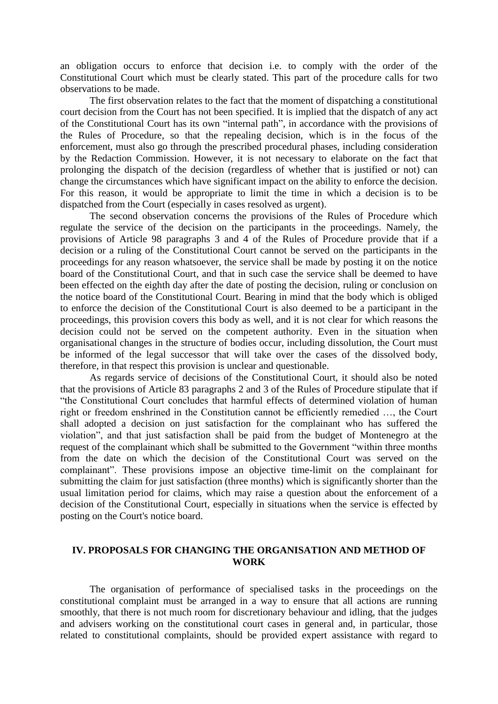an obligation occurs to enforce that decision i.e. to comply with the order of the Constitutional Court which must be clearly stated. This part of the procedure calls for two observations to be made.

The first observation relates to the fact that the moment of dispatching a constitutional court decision from the Court has not been specified. It is implied that the dispatch of any act of the Constitutional Court has its own "internal path", in accordance with the provisions of the Rules of Procedure, so that the repealing decision, which is in the focus of the enforcement, must also go through the prescribed procedural phases, including consideration by the Redaction Commission. However, it is not necessary to elaborate on the fact that prolonging the dispatch of the decision (regardless of whether that is justified or not) can change the circumstances which have significant impact on the ability to enforce the decision. For this reason, it would be appropriate to limit the time in which a decision is to be dispatched from the Court (especially in cases resolved as urgent).

The second observation concerns the provisions of the Rules of Procedure which regulate the service of the decision on the participants in the proceedings. Namely, the provisions of Article 98 paragraphs 3 and 4 of the Rules of Procedure provide that if a decision or a ruling of the Constitutional Court cannot be served on the participants in the proceedings for any reason whatsoever, the service shall be made by posting it on the notice board of the Constitutional Court, and that in such case the service shall be deemed to have been effected on the eighth day after the date of posting the decision, ruling or conclusion on the notice board of the Constitutional Court. Bearing in mind that the body which is obliged to enforce the decision of the Constitutional Court is also deemed to be a participant in the proceedings, this provision covers this body as well, and it is not clear for which reasons the decision could not be served on the competent authority. Even in the situation when organisational changes in the structure of bodies occur, including dissolution, the Court must be informed of the legal successor that will take over the cases of the dissolved body, therefore, in that respect this provision is unclear and questionable.

As regards service of decisions of the Constitutional Court, it should also be noted that the provisions of Article 83 paragraphs 2 and 3 of the Rules of Procedure stipulate that if "the Constitutional Court concludes that harmful effects of determined violation of human right or freedom enshrined in the Constitution cannot be efficiently remedied …, the Court shall adopted a decision on just satisfaction for the complainant who has suffered the violation", and that just satisfaction shall be paid from the budget of Montenegro at the request of the complainant which shall be submitted to the Government "within three months from the date on which the decision of the Constitutional Court was served on the complainant". These provisions impose an objective time-limit on the complainant for submitting the claim for just satisfaction (three months) which is significantly shorter than the usual limitation period for claims, which may raise a question about the enforcement of a decision of the Constitutional Court, especially in situations when the service is effected by posting on the Court's notice board.

## **IV. PROPOSALS FOR CHANGING THE ORGANISATION AND METHOD OF WORK**

The organisation of performance of specialised tasks in the proceedings on the constitutional complaint must be arranged in a way to ensure that all actions are running smoothly, that there is not much room for discretionary behaviour and idling, that the judges and advisers working on the constitutional court cases in general and, in particular, those related to constitutional complaints, should be provided expert assistance with regard to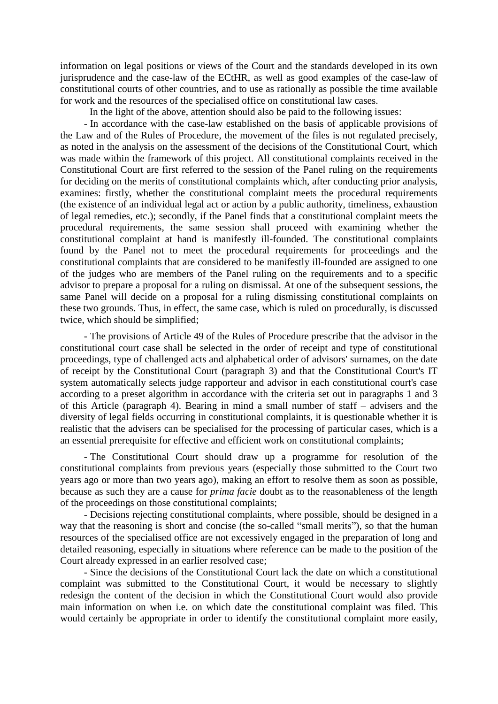information on legal positions or views of the Court and the standards developed in its own jurisprudence and the case-law of the ECtHR, as well as good examples of the case-law of constitutional courts of other countries, and to use as rationally as possible the time available for work and the resources of the specialised office on constitutional law cases.

In the light of the above, attention should also be paid to the following issues:

- In accordance with the case-law established on the basis of applicable provisions of the Law and of the Rules of Procedure, the movement of the files is not regulated precisely, as noted in the analysis on the assessment of the decisions of the Constitutional Court, which was made within the framework of this project. All constitutional complaints received in the Constitutional Court are first referred to the session of the Panel ruling on the requirements for deciding on the merits of constitutional complaints which, after conducting prior analysis, examines: firstly, whether the constitutional complaint meets the procedural requirements (the existence of an individual legal act or action by a public authority, timeliness, exhaustion of legal remedies, etc.); secondly, if the Panel finds that a constitutional complaint meets the procedural requirements, the same session shall proceed with examining whether the constitutional complaint at hand is manifestly ill-founded. The constitutional complaints found by the Panel not to meet the procedural requirements for proceedings and the constitutional complaints that are considered to be manifestly ill-founded are assigned to one of the judges who are members of the Panel ruling on the requirements and to a specific advisor to prepare a proposal for a ruling on dismissal. At one of the subsequent sessions, the same Panel will decide on a proposal for a ruling dismissing constitutional complaints on these two grounds. Thus, in effect, the same case, which is ruled on procedurally, is discussed twice, which should be simplified;

- The provisions of Article 49 of the Rules of Procedure prescribe that the advisor in the constitutional court case shall be selected in the order of receipt and type of constitutional proceedings, type of challenged acts and alphabetical order of advisors' surnames, on the date of receipt by the Constitutional Court (paragraph 3) and that the Constitutional Court's IT system automatically selects judge rapporteur and advisor in each constitutional court's case according to a preset algorithm in accordance with the criteria set out in paragraphs 1 and 3 of this Article (paragraph 4). Bearing in mind a small number of staff – advisers and the diversity of legal fields occurring in constitutional complaints, it is questionable whether it is realistic that the advisers can be specialised for the processing of particular cases, which is a an essential prerequisite for effective and efficient work on constitutional complaints;

- The Constitutional Court should draw up a programme for resolution of the constitutional complaints from previous years (especially those submitted to the Court two years ago or more than two years ago), making an effort to resolve them as soon as possible, because as such they are a cause for *prima facie* doubt as to the reasonableness of the length of the proceedings on those constitutional complaints;

- Decisions rejecting constitutional complaints, where possible, should be designed in a way that the reasoning is short and concise (the so-called "small merits"), so that the human resources of the specialised office are not excessively engaged in the preparation of long and detailed reasoning, especially in situations where reference can be made to the position of the Court already expressed in an earlier resolved case;

- Since the decisions of the Constitutional Court lack the date on which a constitutional complaint was submitted to the Constitutional Court, it would be necessary to slightly redesign the content of the decision in which the Constitutional Court would also provide main information on when i.e. on which date the constitutional complaint was filed. This would certainly be appropriate in order to identify the constitutional complaint more easily,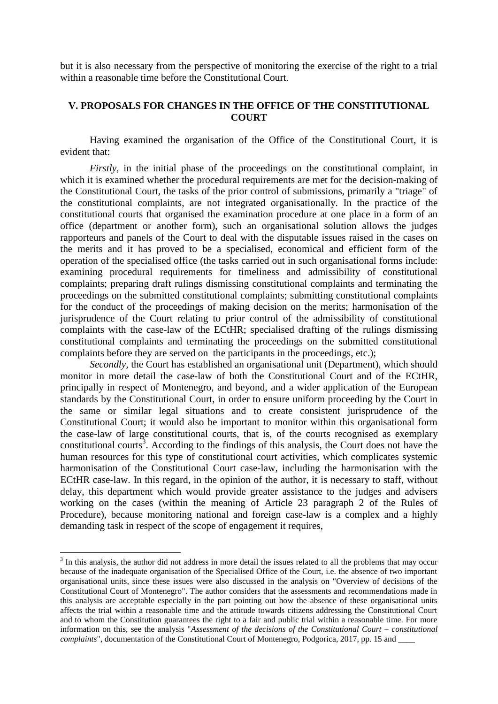but it is also necessary from the perspective of monitoring the exercise of the right to a trial within a reasonable time before the Constitutional Court.

## **V. PROPOSALS FOR CHANGES IN THE OFFICE OF THE CONSTITUTIONAL COURT**

Having examined the organisation of the Office of the Constitutional Court, it is evident that:

*Firstly*, in the initial phase of the proceedings on the constitutional complaint, in which it is examined whether the procedural requirements are met for the decision-making of the Constitutional Court, the tasks of the prior control of submissions, primarily a "triage" of the constitutional complaints, are not integrated organisationally. In the practice of the constitutional courts that organised the examination procedure at one place in a form of an office (department or another form), such an organisational solution allows the judges rapporteurs and panels of the Court to deal with the disputable issues raised in the cases on the merits and it has proved to be a specialised, economical and efficient form of the operation of the specialised office (the tasks carried out in such organisational forms include: examining procedural requirements for timeliness and admissibility of constitutional complaints; preparing draft rulings dismissing constitutional complaints and terminating the proceedings on the submitted constitutional complaints; submitting constitutional complaints for the conduct of the proceedings of making decision on the merits; harmonisation of the jurisprudence of the Court relating to prior control of the admissibility of constitutional complaints with the case-law of the ECtHR; specialised drafting of the rulings dismissing constitutional complaints and terminating the proceedings on the submitted constitutional complaints before they are served on the participants in the proceedings, etc.);

*Secondly,* the Court has established an organisational unit (Department), which should monitor in more detail the case-law of both the Constitutional Court and of the ECtHR, principally in respect of Montenegro, and beyond, and a wider application of the European standards by the Constitutional Court, in order to ensure uniform proceeding by the Court in the same or similar legal situations and to create consistent jurisprudence of the Constitutional Court; it would also be important to monitor within this organisational form the case-law of large constitutional courts, that is, of the courts recognised as exemplary constitutional courts<sup>3</sup>. According to the findings of this analysis, the Court does not have the human resources for this type of constitutional court activities, which complicates systemic harmonisation of the Constitutional Court case-law, including the harmonisation with the ECtHR case-law. In this regard, in the opinion of the author, it is necessary to staff, without delay, this department which would provide greater assistance to the judges and advisers working on the cases (within the meaning of Article 23 paragraph 2 of the Rules of Procedure), because monitoring national and foreign case-law is a complex and a highly demanding task in respect of the scope of engagement it requires.

 $\overline{a}$ 

 $3$  In this analysis, the author did not address in more detail the issues related to all the problems that may occur because of the inadequate organisation of the Specialised Office of the Court, i.e. the absence of two important organisational units, since these issues were also discussed in the analysis on "Overview of decisions of the Constitutional Court of Montenegro". The author considers that the assessments and recommendations made in this analysis are acceptable especially in the part pointing out how the absence of these organisational units affects the trial within a reasonable time and the attitude towards citizens addressing the Constitutional Court and to whom the Constitution guarantees the right to a fair and public trial within a reasonable time. For more information on this, see the analysis "*Assessment of the decisions of the Constitutional Court – constitutional complaints*", documentation of the Constitutional Court of Montenegro, Podgorica, 2017, pp. 15 and \_\_\_\_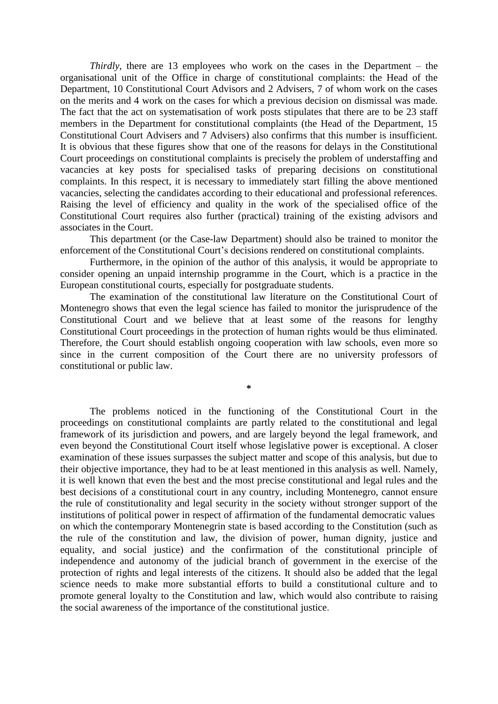*Thirdly*, there are 13 employees who work on the cases in the Department – the organisational unit of the Office in charge of constitutional complaints: the Head of the Department, 10 Constitutional Court Advisors and 2 Advisers, 7 of whom work on the cases on the merits and 4 work on the cases for which a previous decision on dismissal was made. The fact that the act on systematisation of work posts stipulates that there are to be 23 staff members in the Department for constitutional complaints (the Head of the Department, 15 Constitutional Court Advisers and 7 Advisers) also confirms that this number is insufficient. It is obvious that these figures show that one of the reasons for delays in the Constitutional Court proceedings on constitutional complaints is precisely the problem of understaffing and vacancies at key posts for specialised tasks of preparing decisions on constitutional complaints. In this respect, it is necessary to immediately start filling the above mentioned vacancies, selecting the candidates according to their educational and professional references. Raising the level of efficiency and quality in the work of the specialised office of the Constitutional Court requires also further (practical) training of the existing advisors and associates in the Court.

This department (or the Case-law Department) should also be trained to monitor the enforcement of the Constitutional Court's decisions rendered on constitutional complaints.

Furthermore, in the opinion of the author of this analysis, it would be appropriate to consider opening an unpaid internship programme in the Court, which is a practice in the European constitutional courts, especially for postgraduate students.

The examination of the constitutional law literature on the Constitutional Court of Montenegro shows that even the legal science has failed to monitor the jurisprudence of the Constitutional Court and we believe that at least some of the reasons for lengthy Constitutional Court proceedings in the protection of human rights would be thus eliminated. Therefore, the Court should establish ongoing cooperation with law schools, even more so since in the current composition of the Court there are no university professors of constitutional or public law.

**\***

The problems noticed in the functioning of the Constitutional Court in the proceedings on constitutional complaints are partly related to the constitutional and legal framework of its jurisdiction and powers, and are largely beyond the legal framework, and even beyond the Constitutional Court itself whose legislative power is exceptional. A closer examination of these issues surpasses the subject matter and scope of this analysis, but due to their objective importance, they had to be at least mentioned in this analysis as well. Namely, it is well known that even the best and the most precise constitutional and legal rules and the best decisions of a constitutional court in any country, including Montenegro, cannot ensure the rule of constitutionality and legal security in the society without stronger support of the institutions of political power in respect of affirmation of the fundamental democratic values on which the contemporary Montenegrin state is based according to the Constitution (such as the rule of the constitution and law, the division of power, human dignity, justice and equality, and social justice) and the confirmation of the constitutional principle of independence and autonomy of the judicial branch of government in the exercise of the protection of rights and legal interests of the citizens. It should also be added that the legal science needs to make more substantial efforts to build a constitutional culture and to promote general loyalty to the Constitution and law, which would also contribute to raising the social awareness of the importance of the constitutional justice.